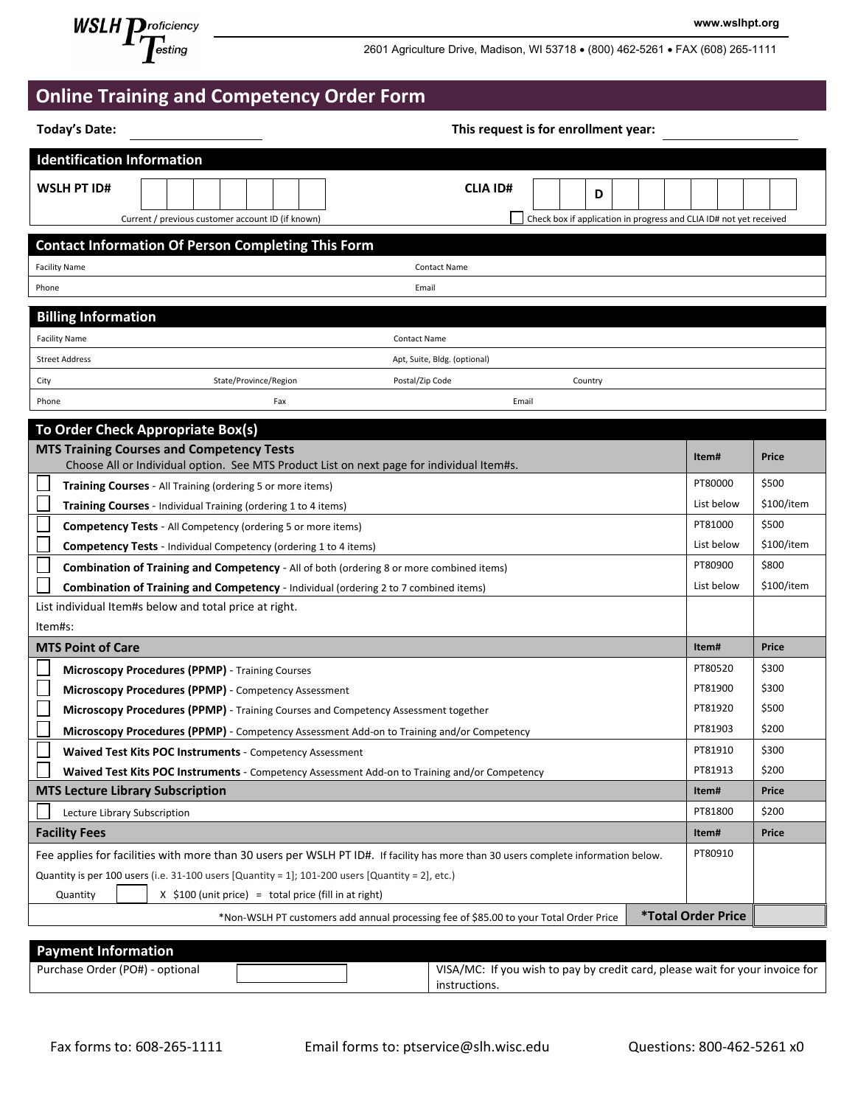

2601 Agriculture Drive, Madison, WI 53718 • (800) 462-5261 • FAX (608) 265-1111

**www.wslhpt.org**

| <b>Online Training and Competency Order Form</b> |  |  |
|--------------------------------------------------|--|--|
|--------------------------------------------------|--|--|

| <b>Today's Date:</b>                    | This request is for enrollment year:                                                                   |                                                                                                                                    |                                                                    |            |
|-----------------------------------------|--------------------------------------------------------------------------------------------------------|------------------------------------------------------------------------------------------------------------------------------------|--------------------------------------------------------------------|------------|
| <b>Identification Information</b>       |                                                                                                        |                                                                                                                                    |                                                                    |            |
| <b>WSLH PT ID#</b>                      | Current / previous customer account ID (if known)                                                      | <b>CLIA ID#</b><br>D                                                                                                               | Check box if application in progress and CLIA ID# not yet received |            |
|                                         | <b>Contact Information Of Person Completing This Form</b>                                              |                                                                                                                                    |                                                                    |            |
| <b>Facility Name</b>                    |                                                                                                        | <b>Contact Name</b>                                                                                                                |                                                                    |            |
| Phone                                   |                                                                                                        | Email                                                                                                                              |                                                                    |            |
| <b>Billing Information</b>              |                                                                                                        |                                                                                                                                    |                                                                    |            |
| <b>Facility Name</b>                    |                                                                                                        | <b>Contact Name</b>                                                                                                                |                                                                    |            |
| <b>Street Address</b>                   |                                                                                                        | Apt, Suite, Bldg. (optional)                                                                                                       |                                                                    |            |
| City                                    | State/Province/Region                                                                                  | Postal/Zip Code<br>Country                                                                                                         |                                                                    |            |
| Phone                                   | Fax                                                                                                    | Email                                                                                                                              |                                                                    |            |
|                                         | To Order Check Appropriate Box(s)                                                                      |                                                                                                                                    |                                                                    |            |
|                                         | <b>MTS Training Courses and Competency Tests</b>                                                       |                                                                                                                                    |                                                                    |            |
|                                         | Choose All or Individual option. See MTS Product List on next page for individual Item#s.              |                                                                                                                                    | Item#                                                              | Price      |
|                                         | <b>Training Courses</b> - All Training (ordering 5 or more items)                                      |                                                                                                                                    | PT80000                                                            | \$500      |
|                                         | Training Courses - Individual Training (ordering 1 to 4 items)                                         |                                                                                                                                    | List below                                                         | \$100/item |
|                                         | <b>Competency Tests - All Competency (ordering 5 or more items)</b>                                    |                                                                                                                                    | PT81000                                                            | \$500      |
|                                         | <b>Competency Tests</b> - Individual Competency (ordering 1 to 4 items)                                |                                                                                                                                    | List below                                                         | \$100/item |
|                                         | <b>Combination of Training and Competency</b> - All of both (ordering 8 or more combined items)        |                                                                                                                                    | PT80900                                                            | \$800      |
|                                         | <b>Combination of Training and Competency</b> - Individual (ordering 2 to 7 combined items)            |                                                                                                                                    | List below                                                         | \$100/item |
|                                         | List individual Item#s below and total price at right.                                                 |                                                                                                                                    |                                                                    |            |
| Item#s:                                 |                                                                                                        |                                                                                                                                    |                                                                    |            |
| <b>MTS Point of Care</b>                |                                                                                                        |                                                                                                                                    | Item#                                                              | Price      |
|                                         | Microscopy Procedures (PPMP) - Training Courses                                                        |                                                                                                                                    | PT80520                                                            | \$300      |
|                                         | Microscopy Procedures (PPMP) - Competency Assessment                                                   |                                                                                                                                    | PT81900                                                            | \$300      |
|                                         | <b>Microscopy Procedures (PPMP)</b> - Training Courses and Competency Assessment together              |                                                                                                                                    | PT81920                                                            | \$500      |
|                                         | Microscopy Procedures (PPMP) - Competency Assessment Add-on to Training and/or Competency              |                                                                                                                                    | PT81903                                                            | \$200      |
|                                         | Waived Test Kits POC Instruments - Competency Assessment                                               |                                                                                                                                    | PT81910                                                            | \$300      |
|                                         | Waived Test Kits POC Instruments - Competency Assessment Add-on to Training and/or Competency          |                                                                                                                                    | PT81913                                                            | \$200      |
| <b>MTS Lecture Library Subscription</b> |                                                                                                        |                                                                                                                                    | Item#                                                              | Price      |
| Lecture Library Subscription            |                                                                                                        |                                                                                                                                    | PT81800                                                            | \$200      |
| <b>Facility Fees</b>                    |                                                                                                        |                                                                                                                                    | Item#                                                              | Price      |
|                                         |                                                                                                        | Fee applies for facilities with more than 30 users per WSLH PT ID#. If facility has more than 30 users complete information below. | PT80910                                                            |            |
|                                         | Quantity is per 100 users (i.e. 31-100 users $[Quantity = 1]$ ; 101-200 users $[Quantity = 2]$ , etc.) |                                                                                                                                    |                                                                    |            |
| Quantity                                | $X$ \$100 (unit price) = total price (fill in at right)                                                |                                                                                                                                    |                                                                    |            |
|                                         |                                                                                                        | *Non-WSLH PT customers add annual processing fee of \$85.00 to your Total Order Price                                              | <b>*Total Order Price</b>                                          |            |
| <b>Payment Information</b>              |                                                                                                        |                                                                                                                                    |                                                                    |            |

| ____                            |                                                                              |
|---------------------------------|------------------------------------------------------------------------------|
| Purchase Order (PO#) - optional | VISA/MC: If you wish to pay by credit card, please wait for your invoice for |
|                                 | instructions.                                                                |